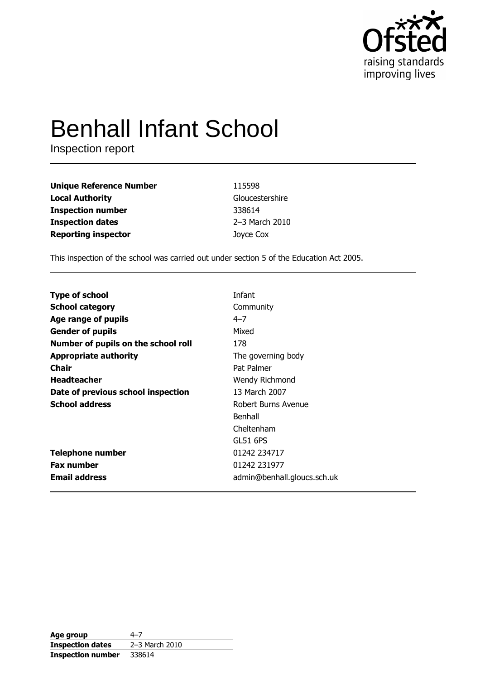

# **Benhall Infant School**

Inspection report

| <b>Unique Reference Number</b> | 115598          |
|--------------------------------|-----------------|
| <b>Local Authority</b>         | Gloucestershire |
| <b>Inspection number</b>       | 338614          |
| <b>Inspection dates</b>        | 2-3 March 2010  |
| <b>Reporting inspector</b>     | Joyce Cox       |

This inspection of the school was carried out under section 5 of the Education Act 2005.

|                                     | Infant                      |
|-------------------------------------|-----------------------------|
| <b>Type of school</b>               |                             |
| <b>School category</b>              | Community                   |
| Age range of pupils                 | $4 - 7$                     |
| <b>Gender of pupils</b>             | Mixed                       |
| Number of pupils on the school roll | 178                         |
| <b>Appropriate authority</b>        | The governing body          |
| Chair                               | Pat Palmer                  |
| <b>Headteacher</b>                  | Wendy Richmond              |
| Date of previous school inspection  | 13 March 2007               |
| <b>School address</b>               | Robert Burns Avenue         |
|                                     | Benhall                     |
|                                     | Cheltenham                  |
|                                     | <b>GL51 6PS</b>             |
| <b>Telephone number</b>             | 01242 234717                |
| <b>Fax number</b>                   | 01242 231977                |
| <b>Email address</b>                | admin@benhall.gloucs.sch.uk |

| Age group                | 4–7            |
|--------------------------|----------------|
| <b>Inspection dates</b>  | 2-3 March 2010 |
| <b>Inspection number</b> | 338614         |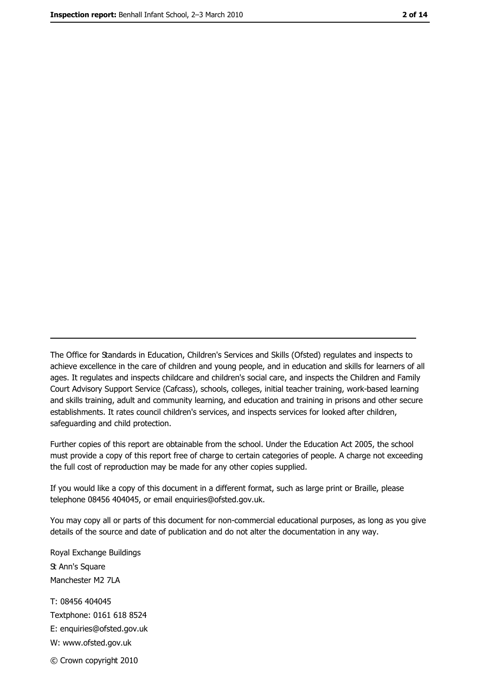The Office for Standards in Education, Children's Services and Skills (Ofsted) regulates and inspects to achieve excellence in the care of children and young people, and in education and skills for learners of all ages. It regulates and inspects childcare and children's social care, and inspects the Children and Family Court Advisory Support Service (Cafcass), schools, colleges, initial teacher training, work-based learning and skills training, adult and community learning, and education and training in prisons and other secure establishments. It rates council children's services, and inspects services for looked after children, safequarding and child protection.

Further copies of this report are obtainable from the school. Under the Education Act 2005, the school must provide a copy of this report free of charge to certain categories of people. A charge not exceeding the full cost of reproduction may be made for any other copies supplied.

If you would like a copy of this document in a different format, such as large print or Braille, please telephone 08456 404045, or email enquiries@ofsted.gov.uk.

You may copy all or parts of this document for non-commercial educational purposes, as long as you give details of the source and date of publication and do not alter the documentation in any way.

Royal Exchange Buildings **St Ann's Square** Manchester M2 7LA T: 08456 404045 Textphone: 0161 618 8524 E: enquiries@ofsted.gov.uk W: www.ofsted.gov.uk © Crown copyright 2010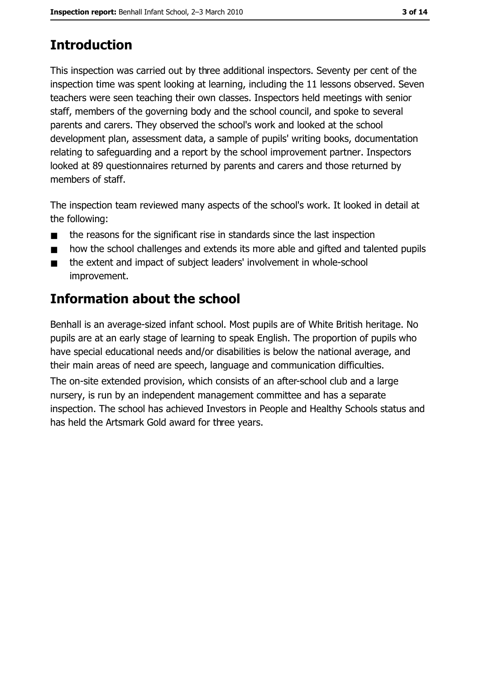# **Introduction**

This inspection was carried out by three additional inspectors. Seventy per cent of the inspection time was spent looking at learning, including the 11 lessons observed. Seven teachers were seen teaching their own classes. Inspectors held meetings with senior staff, members of the governing body and the school council, and spoke to several parents and carers. They observed the school's work and looked at the school development plan, assessment data, a sample of pupils' writing books, documentation relating to safeguarding and a report by the school improvement partner. Inspectors looked at 89 questionnaires returned by parents and carers and those returned by members of staff.

The inspection team reviewed many aspects of the school's work. It looked in detail at the following:

- the reasons for the significant rise in standards since the last inspection  $\blacksquare$
- how the school challenges and extends its more able and gifted and talented pupils  $\blacksquare$
- the extent and impact of subject leaders' involvement in whole-school  $\blacksquare$ improvement.

# **Information about the school**

Benhall is an average-sized infant school. Most pupils are of White British heritage. No pupils are at an early stage of learning to speak English. The proportion of pupils who have special educational needs and/or disabilities is below the national average, and their main areas of need are speech, language and communication difficulties.

The on-site extended provision, which consists of an after-school club and a large nursery, is run by an independent management committee and has a separate inspection. The school has achieved Investors in People and Healthy Schools status and has held the Artsmark Gold award for three years.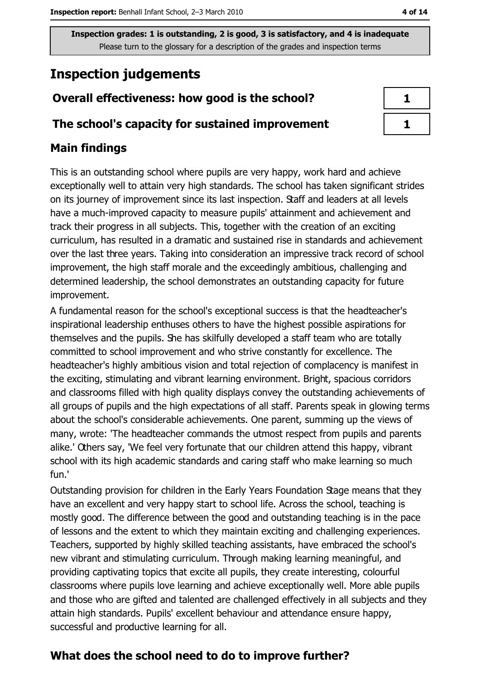Inspection grades: 1 is outstanding, 2 is good, 3 is satisfactory, and 4 is inadequate Please turn to the glossary for a description of the grades and inspection terms

# **Inspection judgements**

## Overall effectiveness: how good is the school?

#### The school's capacity for sustained improvement

## **Main findings**

This is an outstanding school where pupils are very happy, work hard and achieve exceptionally well to attain very high standards. The school has taken significant strides on its journey of improvement since its last inspection. Staff and leaders at all levels have a much-improved capacity to measure pupils' attainment and achievement and track their progress in all subjects. This, together with the creation of an exciting curriculum, has resulted in a dramatic and sustained rise in standards and achievement over the last three years. Taking into consideration an impressive track record of school improvement, the high staff morale and the exceedingly ambitious, challenging and determined leadership, the school demonstrates an outstanding capacity for future improvement.

A fundamental reason for the school's exceptional success is that the headteacher's inspirational leadership enthuses others to have the highest possible aspirations for themselves and the pupils. She has skilfully developed a staff team who are totally committed to school improvement and who strive constantly for excellence. The headteacher's highly ambitious vision and total rejection of complacency is manifest in the exciting, stimulating and vibrant learning environment. Bright, spacious corridors and classrooms filled with high quality displays convey the outstanding achievements of all groups of pupils and the high expectations of all staff. Parents speak in glowing terms about the school's considerable achievements. One parent, summing up the views of many, wrote: 'The headteacher commands the utmost respect from pupils and parents alike.' Others say, 'We feel very fortunate that our children attend this happy, vibrant school with its high academic standards and caring staff who make learning so much fun.'

Outstanding provision for children in the Early Years Foundation Stage means that they have an excellent and very happy start to school life. Across the school, teaching is mostly good. The difference between the good and outstanding teaching is in the pace of lessons and the extent to which they maintain exciting and challenging experiences. Teachers, supported by highly skilled teaching assistants, have embraced the school's new vibrant and stimulating curriculum. Through making learning meaningful, and providing captivating topics that excite all pupils, they create interesting, colourful classrooms where pupils love learning and achieve exceptionally well. More able pupils and those who are gifted and talented are challenged effectively in all subjects and they attain high standards. Pupils' excellent behaviour and attendance ensure happy, successful and productive learning for all.

## What does the school need to do to improve further?

| ×    |
|------|
| a ka |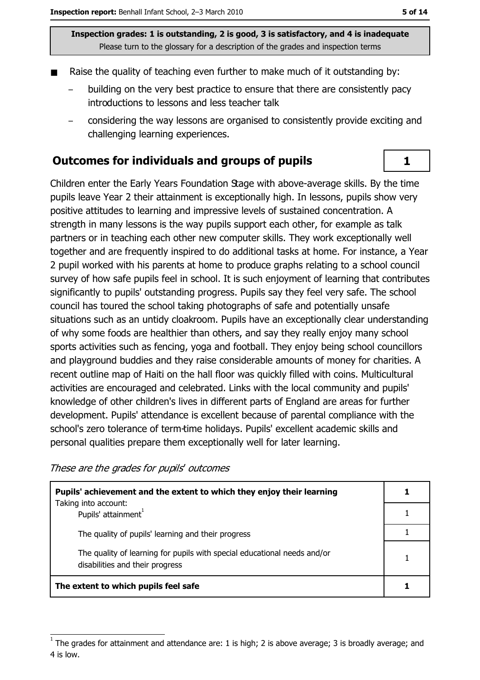Inspection grades: 1 is outstanding, 2 is good, 3 is satisfactory, and 4 is inadequate Please turn to the glossary for a description of the grades and inspection terms

- Raise the quality of teaching even further to make much of it outstanding by:
	- building on the very best practice to ensure that there are consistently pacy introductions to lessons and less teacher talk
	- considering the way lessons are organised to consistently provide exciting and challenging learning experiences.

#### Outcomes for individuals and groups of pupils

Children enter the Early Years Foundation Stage with above-average skills. By the time pupils leave Year 2 their attainment is exceptionally high. In lessons, pupils show very positive attitudes to learning and impressive levels of sustained concentration. A strength in many lessons is the way pupils support each other, for example as talk partners or in teaching each other new computer skills. They work exceptionally well together and are frequently inspired to do additional tasks at home. For instance, a Year 2 pupil worked with his parents at home to produce graphs relating to a school council survey of how safe pupils feel in school. It is such enjoyment of learning that contributes significantly to pupils' outstanding progress. Pupils say they feel very safe. The school council has toured the school taking photographs of safe and potentially unsafe situations such as an untidy cloakroom. Pupils have an exceptionally clear understanding of why some foods are healthier than others, and say they really enjoy many school sports activities such as fencing, yoga and football. They enjoy being school councillors and playground buddies and they raise considerable amounts of money for charities. A recent outline map of Haiti on the hall floor was quickly filled with coins. Multicultural activities are encouraged and celebrated. Links with the local community and pupils' knowledge of other children's lives in different parts of England are areas for further development. Pupils' attendance is excellent because of parental compliance with the school's zero tolerance of term-time holidays. Pupils' excellent academic skills and personal qualities prepare them exceptionally well for later learning.

These are the grades for pupils' outcomes

| Pupils' achievement and the extent to which they enjoy their learning<br>Taking into account:               |  |
|-------------------------------------------------------------------------------------------------------------|--|
| Pupils' attainment <sup>1</sup>                                                                             |  |
| The quality of pupils' learning and their progress                                                          |  |
| The quality of learning for pupils with special educational needs and/or<br>disabilities and their progress |  |
| The extent to which pupils feel safe                                                                        |  |

 $\mathbf{1}$ 

The grades for attainment and attendance are: 1 is high; 2 is above average; 3 is broadly average; and 4 is low.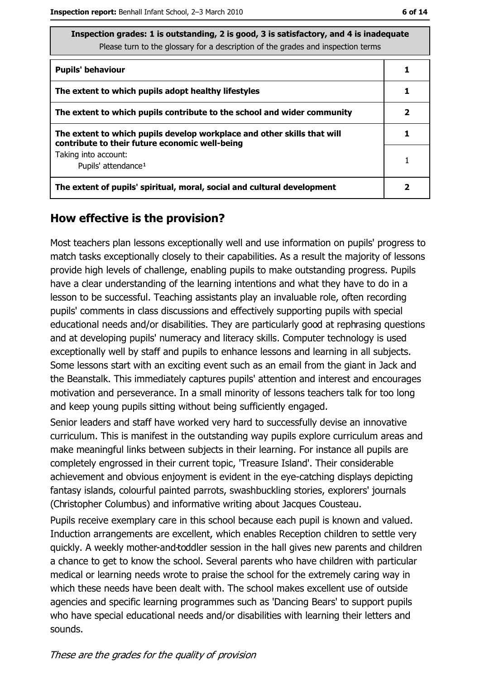ate

| Inspection grades: 1 is outstanding, 2 is good, 3 is satisfactory, and 4 is inadequ |
|-------------------------------------------------------------------------------------|
| Please turn to the glossary for a description of the grades and inspection terms    |

| <b>Pupils' behaviour</b>                                                                                                  |  |
|---------------------------------------------------------------------------------------------------------------------------|--|
| The extent to which pupils adopt healthy lifestyles                                                                       |  |
| The extent to which pupils contribute to the school and wider community                                                   |  |
| The extent to which pupils develop workplace and other skills that will<br>contribute to their future economic well-being |  |
| Taking into account:<br>Pupils' attendance <sup>1</sup>                                                                   |  |
| The extent of pupils' spiritual, moral, social and cultural development                                                   |  |

#### How effective is the provision?

Most teachers plan lessons exceptionally well and use information on pupils' progress to match tasks exceptionally closely to their capabilities. As a result the majority of lessons provide high levels of challenge, enabling pupils to make outstanding progress. Pupils have a clear understanding of the learning intentions and what they have to do in a lesson to be successful. Teaching assistants play an invaluable role, often recording pupils' comments in class discussions and effectively supporting pupils with special educational needs and/or disabilities. They are particularly good at rephrasing questions and at developing pupils' numeracy and literacy skills. Computer technology is used exceptionally well by staff and pupils to enhance lessons and learning in all subjects. Some lessons start with an exciting event such as an email from the giant in Jack and the Beanstalk. This immediately captures pupils' attention and interest and encourages motivation and perseverance. In a small minority of lessons teachers talk for too long and keep young pupils sitting without being sufficiently engaged.

Senior leaders and staff have worked very hard to successfully devise an innovative curriculum. This is manifest in the outstanding way pupils explore curriculum areas and make meaningful links between subjects in their learning. For instance all pupils are completely engrossed in their current topic, 'Treasure Island'. Their considerable achievement and obvious enjoyment is evident in the eye-catching displays depicting fantasy islands, colourful painted parrots, swashbuckling stories, explorers' journals (Christopher Columbus) and informative writing about Jacques Cousteau.

Pupils receive exemplary care in this school because each pupil is known and valued. Induction arrangements are excellent, which enables Reception children to settle very quickly. A weekly mother-and-toddler session in the hall gives new parents and children a chance to get to know the school. Several parents who have children with particular medical or learning needs wrote to praise the school for the extremely caring way in which these needs have been dealt with. The school makes excellent use of outside agencies and specific learning programmes such as 'Dancing Bears' to support pupils who have special educational needs and/or disabilities with learning their letters and sounds.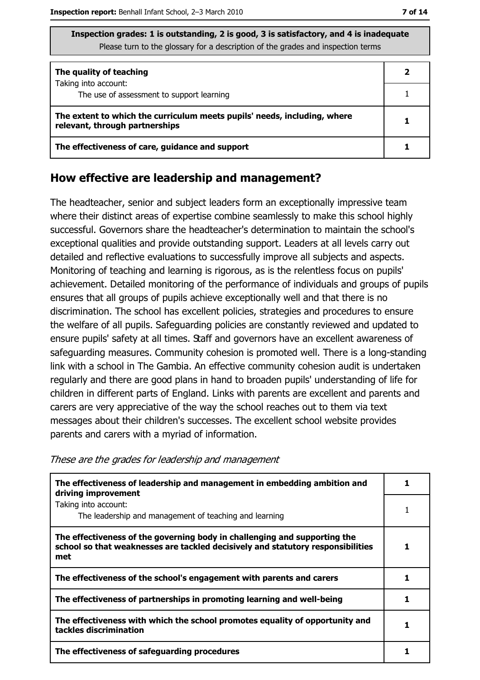| Inspection grades: 1 is outstanding, 2 is good, 3 is satisfactory, and 4 is inadequate |  |
|----------------------------------------------------------------------------------------|--|
| Please turn to the glossary for a description of the grades and inspection terms       |  |

| The quality of teaching                                                                                    |  |
|------------------------------------------------------------------------------------------------------------|--|
| Taking into account:<br>The use of assessment to support learning                                          |  |
| The extent to which the curriculum meets pupils' needs, including, where<br>relevant, through partnerships |  |
| The effectiveness of care, guidance and support                                                            |  |

#### How effective are leadership and management?

The headteacher, senior and subject leaders form an exceptionally impressive team where their distinct areas of expertise combine seamlessly to make this school highly successful. Governors share the headteacher's determination to maintain the school's exceptional qualities and provide outstanding support. Leaders at all levels carry out detailed and reflective evaluations to successfully improve all subjects and aspects. Monitoring of teaching and learning is rigorous, as is the relentless focus on pupils' achievement. Detailed monitoring of the performance of individuals and groups of pupils ensures that all groups of pupils achieve exceptionally well and that there is no discrimination. The school has excellent policies, strategies and procedures to ensure the welfare of all pupils. Safeguarding policies are constantly reviewed and updated to ensure pupils' safety at all times. Staff and governors have an excellent awareness of safeguarding measures. Community cohesion is promoted well. There is a long-standing link with a school in The Gambia. An effective community cohesion audit is undertaken regularly and there are good plans in hand to broaden pupils' understanding of life for children in different parts of England. Links with parents are excellent and parents and carers are very appreciative of the way the school reaches out to them via text messages about their children's successes. The excellent school website provides parents and carers with a myriad of information.

These are the grades for leadership and management

| The effectiveness of leadership and management in embedding ambition and<br>driving improvement                                                                     |  |
|---------------------------------------------------------------------------------------------------------------------------------------------------------------------|--|
| Taking into account:                                                                                                                                                |  |
| The leadership and management of teaching and learning                                                                                                              |  |
| The effectiveness of the governing body in challenging and supporting the<br>school so that weaknesses are tackled decisively and statutory responsibilities<br>met |  |
| The effectiveness of the school's engagement with parents and carers                                                                                                |  |
| The effectiveness of partnerships in promoting learning and well-being                                                                                              |  |
| The effectiveness with which the school promotes equality of opportunity and<br>tackles discrimination                                                              |  |
| The effectiveness of safeguarding procedures                                                                                                                        |  |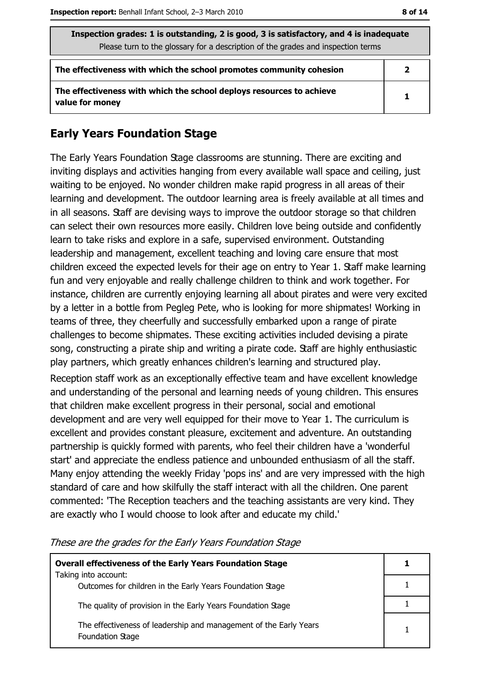| Inspection grades: 1 is outstanding, 2 is good, 3 is satisfactory, and 4 is inadequate<br>Please turn to the glossary for a description of the grades and inspection terms |                |
|----------------------------------------------------------------------------------------------------------------------------------------------------------------------------|----------------|
| The effectiveness with which the school promotes community cohesion                                                                                                        | $\overline{2}$ |
| The effectiveness with which the school deploys resources to achieve<br>value for money                                                                                    | 1              |

## **Early Years Foundation Stage**

The Early Years Foundation Stage classrooms are stunning. There are exciting and inviting displays and activities hanging from every available wall space and ceiling, just waiting to be enjoyed. No wonder children make rapid progress in all areas of their learning and development. The outdoor learning area is freely available at all times and in all seasons. Staff are devising ways to improve the outdoor storage so that children can select their own resources more easily. Children love being outside and confidently learn to take risks and explore in a safe, supervised environment. Outstanding leadership and management, excellent teaching and loving care ensure that most children exceed the expected levels for their age on entry to Year 1. Staff make learning fun and very enjoyable and really challenge children to think and work together. For instance, children are currently enjoying learning all about pirates and were very excited by a letter in a bottle from Pegleg Pete, who is looking for more shipmates! Working in teams of three, they cheerfully and successfully embarked upon a range of pirate challenges to become shipmates. These exciting activities included devising a pirate song, constructing a pirate ship and writing a pirate code. Staff are highly enthusiastic play partners, which greatly enhances children's learning and structured play.

Reception staff work as an exceptionally effective team and have excellent knowledge and understanding of the personal and learning needs of young children. This ensures that children make excellent progress in their personal, social and emotional development and are very well equipped for their move to Year 1. The curriculum is excellent and provides constant pleasure, excitement and adventure. An outstanding partnership is quickly formed with parents, who feel their children have a 'wonderful start' and appreciate the endless patience and unbounded enthusiasm of all the staff. Many enjoy attending the weekly Friday 'pops ins' and are very impressed with the high standard of care and how skilfully the staff interact with all the children. One parent commented: 'The Reception teachers and the teaching assistants are very kind. They are exactly who I would choose to look after and educate my child."

| <b>Overall effectiveness of the Early Years Foundation Stage</b>                      |  |
|---------------------------------------------------------------------------------------|--|
| Taking into account:<br>Outcomes for children in the Early Years Foundation Stage     |  |
| The quality of provision in the Early Years Foundation Stage                          |  |
| The effectiveness of leadership and management of the Early Years<br>Foundation Stage |  |

These are the grades for the Early Years Foundation Stage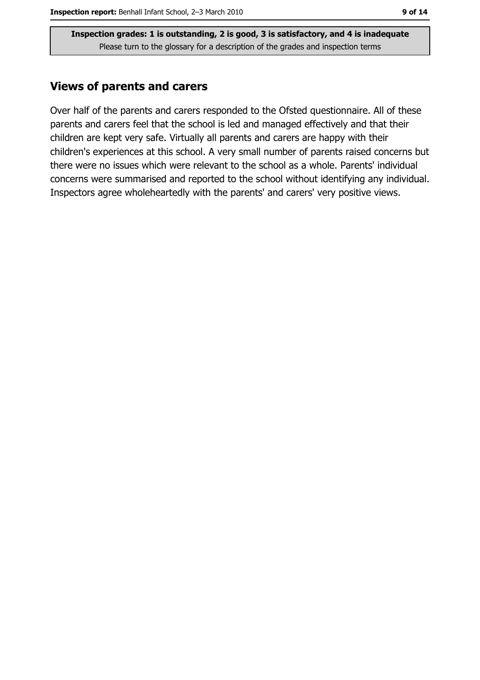Inspection grades: 1 is outstanding, 2 is good, 3 is satisfactory, and 4 is inadequate Please turn to the glossary for a description of the grades and inspection terms

#### **Views of parents and carers**

Over half of the parents and carers responded to the Ofsted questionnaire. All of these parents and carers feel that the school is led and managed effectively and that their children are kept very safe. Virtually all parents and carers are happy with their children's experiences at this school. A very small number of parents raised concerns but there were no issues which were relevant to the school as a whole. Parents' individual concerns were summarised and reported to the school without identifying any individual. Inspectors agree wholeheartedly with the parents' and carers' very positive views.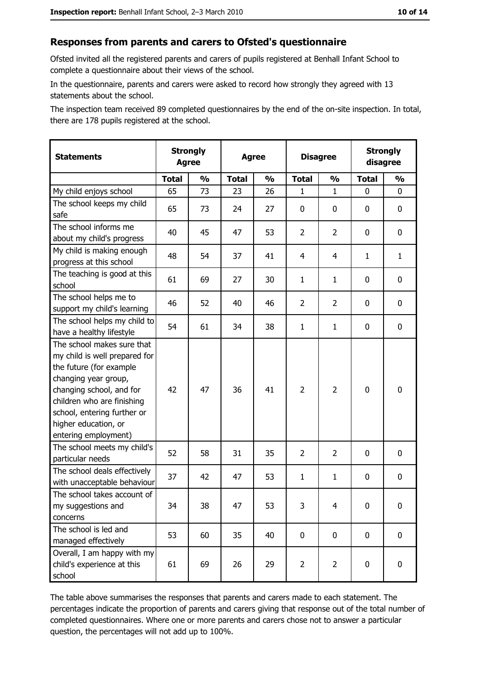#### Responses from parents and carers to Ofsted's questionnaire

Ofsted invited all the registered parents and carers of pupils registered at Benhall Infant School to complete a questionnaire about their views of the school.

In the questionnaire, parents and carers were asked to record how strongly they agreed with 13 statements about the school.

The inspection team received 89 completed questionnaires by the end of the on-site inspection. In total, there are 178 pupils registered at the school.

| <b>Statements</b>                                                                                                                                                                                                                                       | <b>Strongly</b><br><b>Agree</b> |               | <b>Agree</b> |               | <b>Disagree</b> |                | <b>Strongly</b><br>disagree |               |
|---------------------------------------------------------------------------------------------------------------------------------------------------------------------------------------------------------------------------------------------------------|---------------------------------|---------------|--------------|---------------|-----------------|----------------|-----------------------------|---------------|
|                                                                                                                                                                                                                                                         | <b>Total</b>                    | $\frac{1}{2}$ | <b>Total</b> | $\frac{0}{0}$ | <b>Total</b>    | $\frac{1}{2}$  | <b>Total</b>                | $\frac{1}{2}$ |
| My child enjoys school                                                                                                                                                                                                                                  | 65                              | 73            | 23           | 26            | 1               | $\mathbf 1$    | $\Omega$                    | 0             |
| The school keeps my child<br>safe                                                                                                                                                                                                                       | 65                              | 73            | 24           | 27            | $\mathbf 0$     | 0              | $\mathbf{0}$                | 0             |
| The school informs me<br>about my child's progress                                                                                                                                                                                                      | 40                              | 45            | 47           | 53            | $\overline{2}$  | $\overline{2}$ | $\mathbf{0}$                | 0             |
| My child is making enough<br>progress at this school                                                                                                                                                                                                    | 48                              | 54            | 37           | 41            | $\overline{4}$  | 4              | 1                           | $\mathbf{1}$  |
| The teaching is good at this<br>school                                                                                                                                                                                                                  | 61                              | 69            | 27           | 30            | $\mathbf{1}$    | $\mathbf{1}$   | 0                           | 0             |
| The school helps me to<br>support my child's learning                                                                                                                                                                                                   | 46                              | 52            | 40           | 46            | $\overline{2}$  | $\overline{2}$ | 0                           | 0             |
| The school helps my child to<br>have a healthy lifestyle                                                                                                                                                                                                | 54                              | 61            | 34           | 38            | $\mathbf{1}$    | $\mathbf{1}$   | 0                           | 0             |
| The school makes sure that<br>my child is well prepared for<br>the future (for example<br>changing year group,<br>changing school, and for<br>children who are finishing<br>school, entering further or<br>higher education, or<br>entering employment) | 42                              | 47            | 36           | 41            | $\overline{2}$  | $\overline{2}$ | 0                           | 0             |
| The school meets my child's<br>particular needs                                                                                                                                                                                                         | 52                              | 58            | 31           | 35            | $\overline{2}$  | $\overline{2}$ | 0                           | 0             |
| The school deals effectively<br>with unacceptable behaviour                                                                                                                                                                                             | 37                              | 42            | 47           | 53            | $\mathbf{1}$    | $\mathbf{1}$   | 0                           | 0             |
| The school takes account of<br>my suggestions and<br>concerns                                                                                                                                                                                           | 34                              | 38            | 47           | 53            | 3               | 4              | 0                           | 0             |
| The school is led and<br>managed effectively                                                                                                                                                                                                            | 53                              | 60            | 35           | 40            | $\mathbf 0$     | 0              | 0                           | $\mathbf 0$   |
| Overall, I am happy with my<br>child's experience at this<br>school                                                                                                                                                                                     | 61                              | 69            | 26           | 29            | $\overline{2}$  | $\overline{2}$ | $\mathbf 0$                 | 0             |

The table above summarises the responses that parents and carers made to each statement. The percentages indicate the proportion of parents and carers giving that response out of the total number of completed questionnaires. Where one or more parents and carers chose not to answer a particular question, the percentages will not add up to 100%.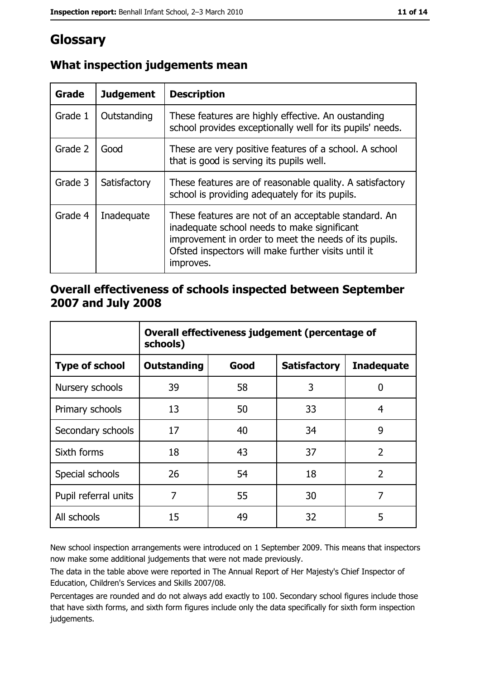# Glossary

| Grade   | <b>Judgement</b> | <b>Description</b>                                                                                                                                                                                                               |
|---------|------------------|----------------------------------------------------------------------------------------------------------------------------------------------------------------------------------------------------------------------------------|
| Grade 1 | Outstanding      | These features are highly effective. An oustanding<br>school provides exceptionally well for its pupils' needs.                                                                                                                  |
| Grade 2 | Good             | These are very positive features of a school. A school<br>that is good is serving its pupils well.                                                                                                                               |
| Grade 3 | Satisfactory     | These features are of reasonable quality. A satisfactory<br>school is providing adequately for its pupils.                                                                                                                       |
| Grade 4 | Inadequate       | These features are not of an acceptable standard. An<br>inadequate school needs to make significant<br>improvement in order to meet the needs of its pupils.<br>Ofsted inspectors will make further visits until it<br>improves. |

## What inspection judgements mean

## Overall effectiveness of schools inspected between September 2007 and July 2008

|                       | Overall effectiveness judgement (percentage of<br>schools) |      |                     |                   |  |
|-----------------------|------------------------------------------------------------|------|---------------------|-------------------|--|
| <b>Type of school</b> | <b>Outstanding</b>                                         | Good | <b>Satisfactory</b> | <b>Inadequate</b> |  |
| Nursery schools       | 39                                                         | 58   | 3                   | 0                 |  |
| Primary schools       | 13                                                         | 50   | 33                  | 4                 |  |
| Secondary schools     | 17                                                         | 40   | 34                  | 9                 |  |
| Sixth forms           | 18                                                         | 43   | 37                  | $\overline{2}$    |  |
| Special schools       | 26                                                         | 54   | 18                  | $\overline{2}$    |  |
| Pupil referral units  | 7                                                          | 55   | 30                  | 7                 |  |
| All schools           | 15                                                         | 49   | 32                  | 5                 |  |

New school inspection arrangements were introduced on 1 September 2009. This means that inspectors now make some additional judgements that were not made previously.

The data in the table above were reported in The Annual Report of Her Majesty's Chief Inspector of Education, Children's Services and Skills 2007/08.

Percentages are rounded and do not always add exactly to 100. Secondary school figures include those that have sixth forms, and sixth form figures include only the data specifically for sixth form inspection judgements.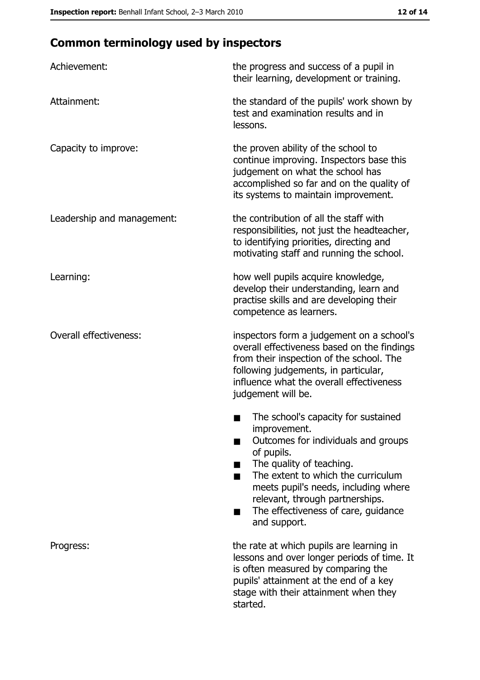# **Common terminology used by inspectors**

| Achievement:                  | the progress and success of a pupil in<br>their learning, development or training.                                                                                                                                                                                                                           |
|-------------------------------|--------------------------------------------------------------------------------------------------------------------------------------------------------------------------------------------------------------------------------------------------------------------------------------------------------------|
| Attainment:                   | the standard of the pupils' work shown by<br>test and examination results and in<br>lessons.                                                                                                                                                                                                                 |
| Capacity to improve:          | the proven ability of the school to<br>continue improving. Inspectors base this<br>judgement on what the school has<br>accomplished so far and on the quality of<br>its systems to maintain improvement.                                                                                                     |
| Leadership and management:    | the contribution of all the staff with<br>responsibilities, not just the headteacher,<br>to identifying priorities, directing and<br>motivating staff and running the school.                                                                                                                                |
| Learning:                     | how well pupils acquire knowledge,<br>develop their understanding, learn and<br>practise skills and are developing their<br>competence as learners.                                                                                                                                                          |
| <b>Overall effectiveness:</b> | inspectors form a judgement on a school's<br>overall effectiveness based on the findings<br>from their inspection of the school. The<br>following judgements, in particular,<br>influence what the overall effectiveness<br>judgement will be.                                                               |
|                               | The school's capacity for sustained<br>improvement.<br>Outcomes for individuals and groups<br>of pupils.<br>The quality of teaching.<br>The extent to which the curriculum<br>meets pupil's needs, including where<br>relevant, through partnerships.<br>The effectiveness of care, guidance<br>and support. |
| Progress:                     | the rate at which pupils are learning in<br>lessons and over longer periods of time. It<br>is often measured by comparing the<br>pupils' attainment at the end of a key<br>stage with their attainment when they<br>started.                                                                                 |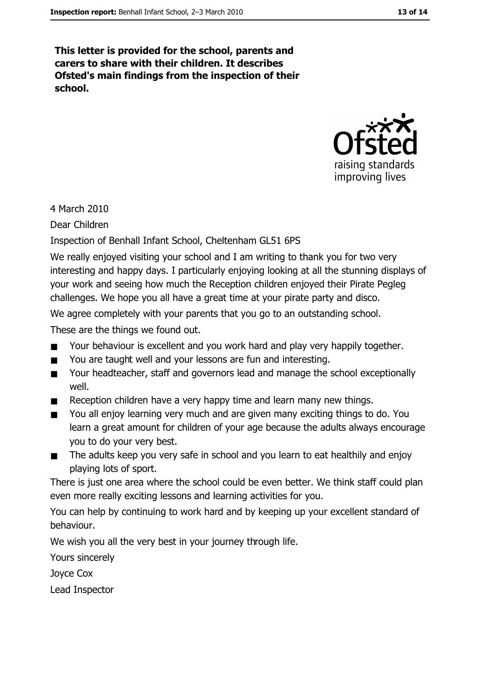This letter is provided for the school, parents and carers to share with their children. It describes Ofsted's main findings from the inspection of their school.



4 March 2010

Dear Children

Inspection of Benhall Infant School, Cheltenham GL51 6PS

We really enjoyed visiting your school and I am writing to thank you for two very interesting and happy days. I particularly enjoying looking at all the stunning displays of your work and seeing how much the Reception children enjoyed their Pirate Pegleg challenges. We hope you all have a great time at your pirate party and disco.

We agree completely with your parents that you go to an outstanding school.

These are the things we found out.

- Your behaviour is excellent and you work hard and play very happily together.  $\blacksquare$
- You are taught well and your lessons are fun and interesting.  $\blacksquare$
- Your headteacher, staff and governors lead and manage the school exceptionally  $\blacksquare$ well.
- Reception children have a very happy time and learn many new things.
- You all enjoy learning very much and are given many exciting things to do. You  $\blacksquare$ learn a great amount for children of your age because the adults always encourage you to do your very best.
- The adults keep you very safe in school and you learn to eat healthily and enjoy  $\blacksquare$ playing lots of sport.

There is just one area where the school could be even better. We think staff could plan even more really exciting lessons and learning activities for you.

You can help by continuing to work hard and by keeping up your excellent standard of behaviour.

We wish you all the very best in your journey through life.

Yours sincerely

Joyce Cox

Lead Inspector